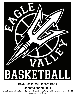# SK STIBL

Boys Basketball Record Book

Updated spring 2021

\*full statistical records are from 2015-present unless stated specifically, Partial records from years 1998-2005 plus a few more additions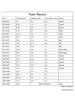| <b>Team Record</b> |                |               |                        |               |  |  |  |  |  |
|--------------------|----------------|---------------|------------------------|---------------|--|--|--|--|--|
| Year               | Overall record | League record | Post season record     | Coach         |  |  |  |  |  |
| 2020-2021          | $3 - 7$        | $2 - 7$       | n/a                    | <b>Brandt</b> |  |  |  |  |  |
| 2019-2020          | $6 - 16$       | $1 - 11$      | $0 - 1$                | <b>Brandt</b> |  |  |  |  |  |
| 2018-2019          | $9 - 14$       | $3-9$         | $1 - 1$                | <b>Brandt</b> |  |  |  |  |  |
| 2017-2018          | $7 - 16$       | $5-7$         | n/a                    | <b>Walls</b>  |  |  |  |  |  |
| 2016-2017          | $14 - 10$      | $7 - 5$       | $0 - 1$                | <b>Walls</b>  |  |  |  |  |  |
| 2015-2016          | $6 - 14$       | $4 - 10$      | n/a                    | <b>Walls</b>  |  |  |  |  |  |
| 2014-2015          | $0 - 20$       | $0 - 14$      | n/a                    | <b>Bair</b>   |  |  |  |  |  |
| 2013-2014          | $5 - 15$       | $3 - 11$      | n/a                    | <b>Bair</b>   |  |  |  |  |  |
| 2012-2013          | $16 - 8$       | $10 - 4$      | $1 - 1$                | <b>Bair</b>   |  |  |  |  |  |
| 2011-2012*         | $18-6$         | $10-2$        | $0 - 1$                | McConaghy     |  |  |  |  |  |
| 2010-2011          | $8 - 15$       | $4 - 8$       | n/a                    | McConaghy     |  |  |  |  |  |
| 2009-2010          | $4 - 19$       | $1 - 13$      | n/a                    | Gabriel       |  |  |  |  |  |
| 2008-2009          | $4 - 19$       | $2 - 12$      | n/a                    | Gabriel       |  |  |  |  |  |
| 2007-2008          | $5 - 17$       | $4 - 11$      | n/a                    | Gabriel       |  |  |  |  |  |
| 2006-2007          | $6 - 15$       | $5 - 10$      | n/a                    | Gabriel       |  |  |  |  |  |
| 2005-2006          | $1 - 15$       | $1 - 9$       | n/a                    | Gabriel       |  |  |  |  |  |
| 1998-1999*         | $19 - 7$       | $10-1$        | $4 - 2$                |               |  |  |  |  |  |
| 1997-1998          | $20 - 6$       | $9 - 2$       | $4 - 3$                |               |  |  |  |  |  |
| 1996-1997          | $12 - 10$      | $6 - 4$       | $2 - 1$                |               |  |  |  |  |  |
| 1995-1996*^        | $17 - 7$       | $10-1$        | $4 - 1$                |               |  |  |  |  |  |
| 1984-1985          | $23-0$         |               | <b>State Champions</b> | <b>Scott</b>  |  |  |  |  |  |
|                    |                |               |                        |               |  |  |  |  |  |

\* League champions

^District champion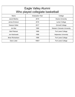| Eagle Valley Alumni<br>Who played collegiate basketball |                        |                                    |  |  |  |  |  |
|---------------------------------------------------------|------------------------|------------------------------------|--|--|--|--|--|
| Name                                                    | <b>Graduation Year</b> | College                            |  |  |  |  |  |
| Jacob Medina                                            | 2019                   | Doane University                   |  |  |  |  |  |
| James Erickson                                          | 2019                   | Lamar College                      |  |  |  |  |  |
| Dawson Keller                                           | 2017                   | <b>Grinnell College</b>            |  |  |  |  |  |
| Jim Bair                                                | 1999                   | <b>Western Colorado University</b> |  |  |  |  |  |
| <b>Bob Pietrack</b>                                     | 1999                   | <b>Fort Lewis College</b>          |  |  |  |  |  |
| Jon Kedrowski                                           | 1998                   | <b>Valparaiso University</b>       |  |  |  |  |  |
| <b>Brian Richardson</b>                                 | 1996                   | Fort Lewis College                 |  |  |  |  |  |
| Dano Lister                                             | 1992?                  | <b>Fort Lewis College</b>          |  |  |  |  |  |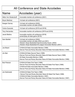| All Conference and State Accolades |                                                                                                                                                                                                                                 |  |  |  |  |
|------------------------------------|---------------------------------------------------------------------------------------------------------------------------------------------------------------------------------------------------------------------------------|--|--|--|--|
| <b>Name</b>                        | Accolades (year)                                                                                                                                                                                                                |  |  |  |  |
| Nikko Von Stralendorff             | -honorable mention all conference (2021)                                                                                                                                                                                        |  |  |  |  |
| <b>Bryan Martinez</b>              | -1st team all conference (2021)                                                                                                                                                                                                 |  |  |  |  |
| Keegan Garvey                      | -1st team all conference (2020)<br>-honorable mention all state (2020)                                                                                                                                                          |  |  |  |  |
| Carlos Quezada                     | -1st team all conference (2019 and 2018)                                                                                                                                                                                        |  |  |  |  |
| <b>Tony Hernandez</b>              | -honorable mention all conference (2019 and 2018)                                                                                                                                                                               |  |  |  |  |
| Jacob Medina                       | -honorable mention all conference (2018)<br>-power2play all state game (2019)                                                                                                                                                   |  |  |  |  |
| <b>Sam Bartlett</b>                | -1st team all conference (2002)<br>-honorable mention all state (2002 and 2001)<br>-Western Slope Basketball Sportsmanship Award, (2002)<br>-Western Slope Basketball All-League Honorable Mention (2001)                       |  |  |  |  |
| Joe Bisant                         | -CHSAA All State Honorable Mention (1999)<br>-Denver Post and Rocky Mountain News All State Honorable Mention (1999)                                                                                                            |  |  |  |  |
| Jim Bair                           | -CHSAA All State Second Team (1999)<br>-Denver Post and Rocky Mountain News All State Second Team (1999)<br>-All State Honorable Mention (1998)<br>-Denver Post and Rocky Mountain News All State Honorable Mention (1998)      |  |  |  |  |
| <b>Bob Pietrack</b>                | -CHSAA All State First Team (1999)<br>-Denver Post and Rocky Mountain News All State First Team (1999)<br>-CHSAA All State Honorable Mention (1998)<br>-Denver Post and Rocky Mountain News All State Honorable Mention (1998)  |  |  |  |  |
| Jon Kedrowski                      | -CHSAA All State First Team (1998)<br>- Denver Post and Rocky Mountain News All State First Team (1998)<br>-CHSAA All State Honorable Mention (1997)<br>-Denver Post and Rocky Mountain News All State Honorable Mention (1997) |  |  |  |  |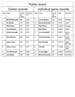| Points record           |                        |                         |                    |                |                         |                       |         |                           |  |  |
|-------------------------|------------------------|-------------------------|--------------------|----------------|-------------------------|-----------------------|---------|---------------------------|--|--|
|                         | Career records         |                         |                    |                | Individual game records |                       |         |                           |  |  |
| rank                    | name                   | Points<br>per<br>career | Graduation<br>year | rank           | name                    | points<br>per<br>game | date    | opponent                  |  |  |
| $\mathbf{1}$            | <b>Micah Bernhardt</b> | 980                     | 2002               | $\mathbf{1}$   | <b>Jacob Medina</b>     | 39                    | 2/8/18  | Palisade                  |  |  |
| $\overline{2}$          | <b>Ty Sterkel</b>      | 744                     | 2000               | $\overline{2}$ | <b>Micah Bernhardt</b>  | 35                    | 3/1/02  | Aspen                     |  |  |
| 3                       | <b>Nate Rioux</b>      | 573                     | 2001               | 3              | <b>Nate Rioux</b>       | 34                    | 1/12/00 | Rangely                   |  |  |
| $\overline{\mathbf{4}}$ | Jacob Medina           | 541                     | 2019               | 4              | <b>Matt Wood</b>        | 32                    | 2/25/00 | <b>Basalt</b>             |  |  |
| 5                       | <b>Carlos Quezada</b>  | 519                     | 2019               | 5              | <b>Jon Kedrowski</b>    | 31                    | 3/5/98  | <b>Buena</b><br>Vista     |  |  |
| 6                       | <b>Sam Bartlett</b>    | 498                     | 2002               | 6              | <b>Carlos Quezada</b>   | 31                    | 12/8/17 | Moffat<br>County          |  |  |
| $\overline{7}$          | <b>Jesus Loera</b>     | 480                     | 2017               | $\overline{7}$ | <b>Raul Peradia</b>     | 30                    | 1/23/18 | <b>Battle</b><br>Mountain |  |  |
| 8                       | <b>Arturo Loera</b>    | 477                     | 2017               | 8              | <b>Jim Bair</b>         | 30                    | 12/4/98 | <b>Buena</b><br>Vista     |  |  |
| 9                       | Jon Kedrowski          | 475                     | 1998               | 9              | <b>Craig Jagger</b>     | 30                    | 2/25/03 | <b>Hotchkiss</b>          |  |  |
| 10                      | <b>Joe Bisant</b>      | 462                     | 1999               | 10             | <b>Micah Bernhardt</b>  | 30                    | 2/19/00 | <b>Hotchkiss</b>          |  |  |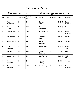| <b>Rebounds Record</b> |                                 |                               |                    |                |                                 |                      |          |                           |  |  |
|------------------------|---------------------------------|-------------------------------|--------------------|----------------|---------------------------------|----------------------|----------|---------------------------|--|--|
|                        | Career records                  |                               |                    |                | Individual game records         |                      |          |                           |  |  |
| rank                   | name                            | <b>Rebounds</b><br>per career | Graduation<br>year | rank           | name                            | Rebounds<br>per game | date     | opponent                  |  |  |
| $\mathbf{1}$           | <b>Tony</b><br><b>Hernandez</b> | 352                           | 2019               | 1              | <b>Garrett</b><br><b>Martin</b> | 16                   | 2/16/17  | <b>Battle</b><br>Mountain |  |  |
| $\overline{2}$         | <b>Dawson</b><br><b>Keller</b>  | 318                           | 2017               | 2              | <b>Tony</b><br><b>Hernandez</b> | 15                   | 1/17/19  | Summit                    |  |  |
| 3                      | <b>Jesse Moser</b>              | 285                           | 2019               | 3              | <b>Jesse Moser</b>              | 14                   | 1/23/18  | <b>Battle</b><br>Mountain |  |  |
| $\overline{4}$         | <b>Jesus Loera</b>              | 280                           | 2017               | $\overline{4}$ | <b>Dawson</b><br><b>Keller</b>  | 14                   | 1/8/16   | Summit                    |  |  |
| 5                      | <b>Garrett Martin</b>           | 229                           | 2017               | 5              | <b>Xaver</b><br><b>Johnson</b>  | 12                   | 1/9/18   | Summit                    |  |  |
| 6                      | <b>Xaver</b><br>Johnson         | 228                           | 2019               | 6              | <b>Jesus Loera</b>              | 12                   | 12/17/17 | Grand<br>Valley           |  |  |
| $\overline{7}$         | <b>Jim Bair</b>                 | 165                           | 1999               | $\overline{7}$ | <b>Carlos</b><br><b>Sanchez</b> | 12                   | 2/18/20  | <b>Rifle</b>              |  |  |
| 8                      | <b>Arturo Loera</b>             | 147                           | 2017               | 8              | <b>Matt Turner</b>              | 10                   | 12/5/17  | Vail<br>Christian         |  |  |
| 9                      | <b>Carlos</b><br><b>Sanchez</b> | 139                           | 2021               | 9              | Keegan<br>Garvey                | 10                   | 2/1/20   | Central                   |  |  |
| 10                     | <b>Carlos</b><br>Quezada        | 118                           | 2019               | 10             | <b>Eric Hasley</b>              | 10                   | 2/2/21   | <b>Battle</b><br>Mountain |  |  |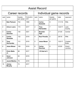| <b>Assist Record</b> |                                 |                              |                    |                 |                                 |                            |         |                         |  |  |
|----------------------|---------------------------------|------------------------------|--------------------|-----------------|---------------------------------|----------------------------|---------|-------------------------|--|--|
|                      | Career records                  |                              |                    |                 | Individual game records         |                            |         |                         |  |  |
| rank                 | name                            | <b>Assists</b><br>per career | Graduation<br>year | rank            | name                            | <b>Assists</b><br>per game | date    | opponent                |  |  |
| $\mathbf{1}$         | <b>Bob Pietrack</b>             | 702                          | 1999               | $\mathbf{1}$    | <b>Carlos</b><br>Quezada        | 8                          | 1/11/18 | <b>Rifle</b>            |  |  |
| $\overline{2}$       | <b>Arturo Loera</b>             | 172                          | 2017               | $\overline{2}$  | <b>Tony</b><br><b>Hernandez</b> | $\overline{7}$             | 12/2/17 | Lake<br>County          |  |  |
| 3                    | <b>Carlos</b><br><b>Sanchez</b> | 140                          | 2021               | 3               | <b>Branden</b><br><b>Vigil</b>  | $\overline{7}$             | 2/1/20  | Central                 |  |  |
| $\overline{4}$       | <b>Carlos</b><br>Quezada        | 132                          | 2019               | $\overline{4}$  | <b>Raul Peredia</b>             | $6\phantom{1}$             | 2/6/18  | <b>Rifle</b>            |  |  |
| 5                    | <b>Tony</b><br><b>Hernandez</b> | 113                          | 2019               | 5               | <b>Jesse Moser</b>              | 6                          | 12/2/17 | Crested<br><b>Butte</b> |  |  |
| 6                    | <b>Jesse Moser</b>              | 106                          | 2019               | $6\phantom{1}6$ | <b>Carlos</b><br><b>Sanchez</b> | 6                          | 2/3/20  | Grand<br>Junction       |  |  |
| $\overline{7}$       | <b>Chris Walls</b><br>Jr.       | 88                           | 2017               |                 | $>10$ tied at 5                 |                            |         |                         |  |  |
| 8                    | <b>Xaver</b><br><b>Johnson</b>  | 83                           | 2019               |                 |                                 |                            |         |                         |  |  |
| 9                    | <b>Jacob Medina</b>             | 79                           | 2019               |                 |                                 |                            |         |                         |  |  |
| 10                   | <b>Jimmy</b><br><b>Murphy</b>   | 74                           | 2017               |                 |                                 |                            |         |                         |  |  |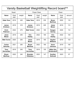| Varsity Basketball Weightlifting Record board*^ |              |        |                                     |                    |        |                                         |              |        |  |  |
|-------------------------------------------------|--------------|--------|-------------------------------------|--------------------|--------|-----------------------------------------|--------------|--------|--|--|
|                                                 | Squat        |        |                                     | <b>Power Clean</b> |        |                                         | Pacer        |        |  |  |
| <b>Name</b>                                     | Grad<br>year | weight | <b>Name</b>                         | Grad<br>year       | weight | <b>Name</b>                             | Grad<br>year | amount |  |  |
| <b>Gabe Tena</b>                                | 2019         | 445    | <b>Gabe Tena</b>                    | 2019               | 235    | <b>Bryan</b><br><b>Martinez</b>         | 2022         | 119    |  |  |
| <b>James</b><br><b>Erickson</b>                 | 2019         | 315    | <b>James</b><br><b>Erickson</b>     | 2019               | 225    | <b>Jesse</b><br><b>Moser</b>            | 2019         | 113    |  |  |
| Erich<br><b>Peterson</b>                        | 2022         | 275    | <b>Matt Turner</b>                  | 2020               | 185    | Keegan<br>Garvey                        | 2020         | 112    |  |  |
| Jesse<br><b>Moser</b>                           | 2019         | 255    | <b>Eric</b><br><b>Hasley</b>        | 2022               | 165    | <b>Eric</b><br><b>Hasley</b>            | 2022         | 104    |  |  |
| <b>Matt Turner</b>                              | 2020         | 250    | <b>Jesse</b><br><b>Moser</b>        | 2019               | 165    | <b>Hayden</b><br><b>Williams</b>        | 2019         | 103    |  |  |
| <b>Carlos</b><br><b>Sanchez</b>                 | 2021         | 250    | <b>Bryan</b><br><b>Martinez</b>     | 2022               | 165    | <b>Xaver</b><br><b>Johnson</b>          | 2019         | 100    |  |  |
| <b>Tony</b><br><b>Hernandez</b>                 | 2019         | 245    | <b>Tony</b><br><b>Hernandez</b>     | 2019               | 155    | <b>Nikko Von</b><br><b>Stralendorff</b> | 2023         | 100    |  |  |
| <b>Bryan</b><br><b>Martinez</b>                 | 2022         | 240    | <b>Branden</b><br><b>Villalobos</b> | 2023               | 147    | <b>Gunther</b><br><b>Soltvedt</b>       | 2023         | 97     |  |  |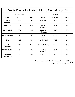| Varsity Basketball Weightlifting Record board*^ |                    |        |                                     |                 |        |  |  |  |  |
|-------------------------------------------------|--------------------|--------|-------------------------------------|-----------------|--------|--|--|--|--|
|                                                 | <b>Bench Press</b> |        |                                     | <b>Deadlift</b> |        |  |  |  |  |
| <b>Name</b>                                     | Grad year          | weight | <b>Name</b>                         | Grad year       | weight |  |  |  |  |
| <b>James</b><br><b>Erickson</b>                 | 2019               | 255    | <b>Gabe Tena</b>                    | 2019            | 415    |  |  |  |  |
| <b>Gabe Tena</b>                                | 2019               | 225    | <b>James</b><br><b>Erickson</b>     | 2019            | 385    |  |  |  |  |
| <b>Branden Vigil</b>                            | 2022               | 185    | <b>Branden</b><br><b>Villalobos</b> | 2023            | 315    |  |  |  |  |
| <b>Bryan Martinez</b>                           | 2022               | 180    | <b>Eric</b><br><b>Hasley</b>        | 2020            | 300    |  |  |  |  |
| <b>Eric</b><br><b>Hasley</b>                    | 2022               | 169    | <b>Branden Vigil</b>                | 2022            | 295    |  |  |  |  |
| <b>Branden</b><br><b>Villalobos</b>             | 2023               | 155    | <b>Bryan Martinez</b>               | 2022            | 295    |  |  |  |  |
| <b>Erich Petersen</b>                           | 2022               | 145    | <b>Julius</b><br><b>Petersen</b>    | 2021            | 275    |  |  |  |  |
| <b>Nikko Von</b><br><b>Stralendorff</b>         | 2023               | 145    | 2 tied at                           | 2022            | 225    |  |  |  |  |

\* must perform in front of Coach Brandt or in weights class ^weights records starting from 2018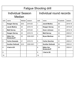# Fatigue Shooting drill

# Individual Season Median

# Individual round records

| rank           | name                                    | Median | season    | rank           | name                                    | # baskets | season  |
|----------------|-----------------------------------------|--------|-----------|----------------|-----------------------------------------|-----------|---------|
| $\mathbf{1}$   | <b>Keegan Garvey</b>                    | 28.5   | 2019-20   | 1              | <b>Jacob Medina</b>                     | 36        | 2018-19 |
| 2              | Jacob Medina                            | 25     | 2018-19   | $\overline{2}$ | <b>Keegan Garvey</b>                    | 35        | 2019-20 |
| 3              | <b>Matt Garvey</b>                      | 25     | 2019-20   | 3              | <b>Xaver Johnson</b>                    | 33        | 2018-19 |
| $\overline{4}$ | <b>Keegan Garvey</b>                    | 23     | 2018-19   | $\overline{4}$ | <b>Matt Garvey</b>                      | 33        | 2020-21 |
| 5              | <b>Nikko Von</b><br><b>Stralendorff</b> | 23     | 2020-2021 | 5              | <b>Bryan Martinez</b>                   | 32        | 2020-21 |
| $6\phantom{1}$ | <b>Carlos Quezada</b>                   | 21     | 2018-19   | $6\phantom{1}$ | <b>Carlos Sanchez</b>                   | 31        | 2020-21 |
| $\overline{7}$ | <b>Gunther Soltvedt</b>                 | 22.5   | 2020-2021 | $\overline{7}$ | <b>Gunther Soltvedt</b>                 | 30        | 2020-21 |
| 8              | 4 tied at 20                            |        |           | 8              | <b>Nikko Von</b><br><b>Stralendorff</b> | 29        | 2020-21 |
| 9              |                                         |        |           | 9              | <b>3 tied at 28</b>                     |           |         |
| 10             |                                         |        |           | 10             |                                         |           |         |